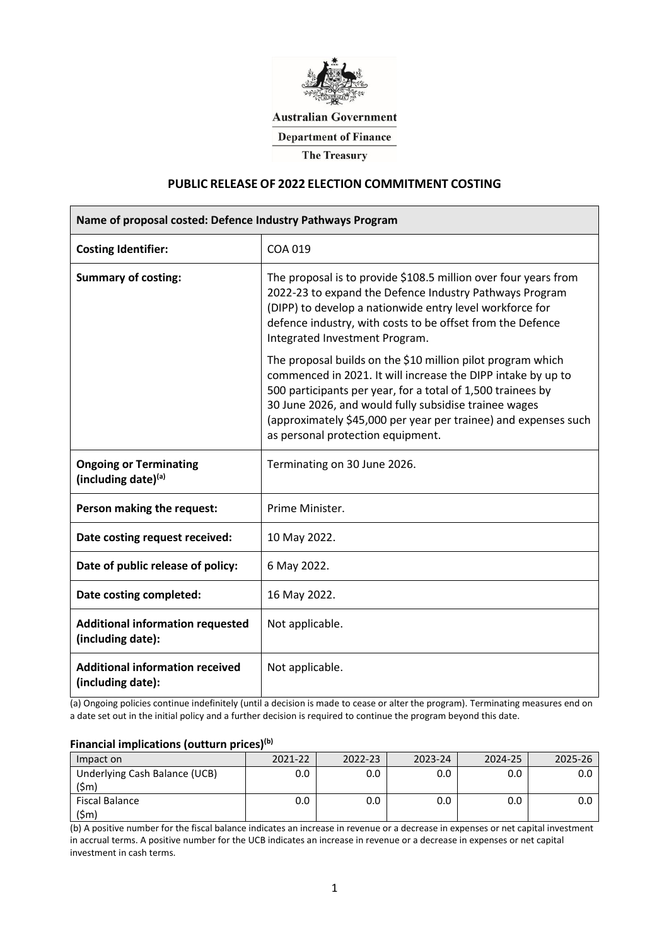

## **Australian Government**

**Department of Finance** 

**The Treasury** 

## **PUBLIC RELEASE OF 2022 ELECTION COMMITMENT COSTING**

| Name of proposal costed: Defence Industry Pathways Program   |                                                                                                                                                                                                                                                                                                                                                             |  |  |  |  |
|--------------------------------------------------------------|-------------------------------------------------------------------------------------------------------------------------------------------------------------------------------------------------------------------------------------------------------------------------------------------------------------------------------------------------------------|--|--|--|--|
| <b>Costing Identifier:</b>                                   | COA 019                                                                                                                                                                                                                                                                                                                                                     |  |  |  |  |
| <b>Summary of costing:</b>                                   | The proposal is to provide \$108.5 million over four years from<br>2022-23 to expand the Defence Industry Pathways Program<br>(DIPP) to develop a nationwide entry level workforce for<br>defence industry, with costs to be offset from the Defence<br>Integrated Investment Program.                                                                      |  |  |  |  |
|                                                              | The proposal builds on the \$10 million pilot program which<br>commenced in 2021. It will increase the DIPP intake by up to<br>500 participants per year, for a total of 1,500 trainees by<br>30 June 2026, and would fully subsidise trainee wages<br>(approximately \$45,000 per year per trainee) and expenses such<br>as personal protection equipment. |  |  |  |  |
| <b>Ongoing or Terminating</b><br>(including date)(a)         | Terminating on 30 June 2026.                                                                                                                                                                                                                                                                                                                                |  |  |  |  |
| Person making the request:                                   | Prime Minister.                                                                                                                                                                                                                                                                                                                                             |  |  |  |  |
| Date costing request received:                               | 10 May 2022.                                                                                                                                                                                                                                                                                                                                                |  |  |  |  |
| Date of public release of policy:                            | 6 May 2022.                                                                                                                                                                                                                                                                                                                                                 |  |  |  |  |
| Date costing completed:                                      | 16 May 2022.                                                                                                                                                                                                                                                                                                                                                |  |  |  |  |
| <b>Additional information requested</b><br>(including date): | Not applicable.                                                                                                                                                                                                                                                                                                                                             |  |  |  |  |
| <b>Additional information received</b><br>(including date):  | Not applicable.                                                                                                                                                                                                                                                                                                                                             |  |  |  |  |

(a) Ongoing policies continue indefinitely (until a decision is made to cease or alter the program). Terminating measures end on a date set out in the initial policy and a further decision is required to continue the program beyond this date.

# **Financial implications (outturn prices)(b)**

| Impact on                             | 2021-22 | 2022-23 | 2023-24 | 2024-25 |  |
|---------------------------------------|---------|---------|---------|---------|--|
| Underlying Cash Balance (UCB)<br>(Sm) |         |         |         |         |  |
| Fiscal Balance                        |         |         | 0.O     | 0.0     |  |

(b) A positive number for the fiscal balance indicates an increase in revenue or a decrease in expenses or net capital investment in accrual terms. A positive number for the UCB indicates an increase in revenue or a decrease in expenses or net capital investment in cash terms.